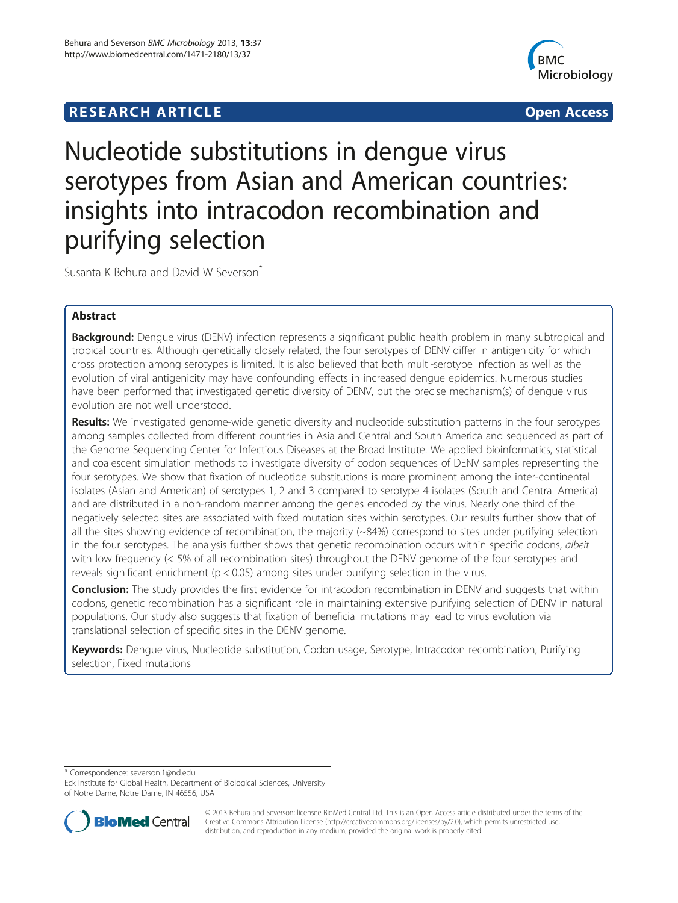# **RESEARCH ARTICLE Example 2008 CONSIDERING CONSIDERING CONSIDERING CONSIDERING CONSIDERING CONSIDERING CONSIDERING CONSIDERING CONSIDERING CONSIDERING CONSIDERING CONSIDERING CONSIDERING CONSIDERING CONSIDERING CONSIDE**



# Nucleotide substitutions in dengue virus serotypes from Asian and American countries: insights into intracodon recombination and purifying selection

Susanta K Behura and David W Severson<sup>\*</sup>

# Abstract

Background: Dengue virus (DENV) infection represents a significant public health problem in many subtropical and tropical countries. Although genetically closely related, the four serotypes of DENV differ in antigenicity for which cross protection among serotypes is limited. It is also believed that both multi-serotype infection as well as the evolution of viral antigenicity may have confounding effects in increased dengue epidemics. Numerous studies have been performed that investigated genetic diversity of DENV, but the precise mechanism(s) of dengue virus evolution are not well understood.

Results: We investigated genome-wide genetic diversity and nucleotide substitution patterns in the four serotypes among samples collected from different countries in Asia and Central and South America and sequenced as part of the Genome Sequencing Center for Infectious Diseases at the Broad Institute. We applied bioinformatics, statistical and coalescent simulation methods to investigate diversity of codon sequences of DENV samples representing the four serotypes. We show that fixation of nucleotide substitutions is more prominent among the inter-continental isolates (Asian and American) of serotypes 1, 2 and 3 compared to serotype 4 isolates (South and Central America) and are distributed in a non-random manner among the genes encoded by the virus. Nearly one third of the negatively selected sites are associated with fixed mutation sites within serotypes. Our results further show that of all the sites showing evidence of recombination, the majority (~84%) correspond to sites under purifying selection in the four serotypes. The analysis further shows that genetic recombination occurs within specific codons, albeit with low frequency (< 5% of all recombination sites) throughout the DENV genome of the four serotypes and reveals significant enrichment ( $p < 0.05$ ) among sites under purifying selection in the virus.

**Conclusion:** The study provides the first evidence for intracodon recombination in DENV and suggests that within codons, genetic recombination has a significant role in maintaining extensive purifying selection of DENV in natural populations. Our study also suggests that fixation of beneficial mutations may lead to virus evolution via translational selection of specific sites in the DENV genome.

Keywords: Dengue virus, Nucleotide substitution, Codon usage, Serotype, Intracodon recombination, Purifying selection, Fixed mutations

\* Correspondence: [severson.1@nd.edu](mailto:severson.1@nd.edu)

Eck Institute for Global Health, Department of Biological Sciences, University of Notre Dame, Notre Dame, IN 46556, USA



© 2013 Behura and Severson; licensee BioMed Central Ltd. This is an Open Access article distributed under the terms of the Creative Commons Attribution License (<http://creativecommons.org/licenses/by/2.0>), which permits unrestricted use, distribution, and reproduction in any medium, provided the original work is properly cited.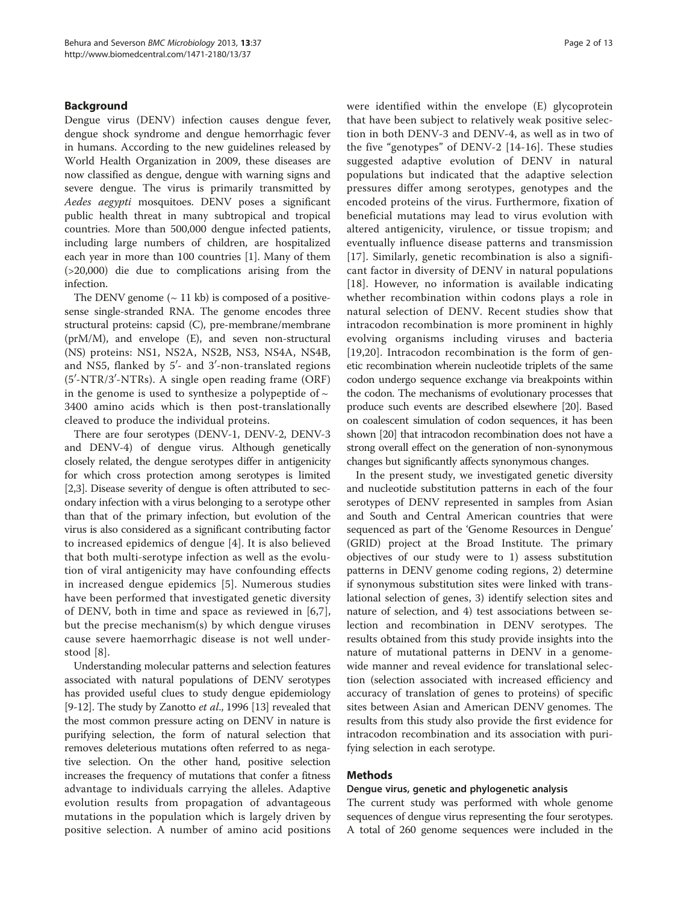#### <span id="page-1-0"></span>Background

Dengue virus (DENV) infection causes dengue fever, dengue shock syndrome and dengue hemorrhagic fever in humans. According to the new guidelines released by World Health Organization in 2009, these diseases are now classified as dengue, dengue with warning signs and severe dengue. The virus is primarily transmitted by Aedes aegypti mosquitoes. DENV poses a significant public health threat in many subtropical and tropical countries. More than 500,000 dengue infected patients, including large numbers of children, are hospitalized each year in more than 100 countries [\[1](#page-11-0)]. Many of them (>20,000) die due to complications arising from the infection.

The DENV genome  $({\sim} 11 \text{ kb})$  is composed of a positivesense single-stranded RNA. The genome encodes three structural proteins: capsid (C), pre-membrane/membrane (prM/M), and envelope (E), and seven non-structural (NS) proteins: NS1, NS2A, NS2B, NS3, NS4A, NS4B, and NS5, flanked by 5′- and 3′-non-translated regions (5'-NTR/3'-NTRs). A single open reading frame (ORF) in the genome is used to synthesize a polypeptide of  $\sim$ 3400 amino acids which is then post-translationally cleaved to produce the individual proteins.

There are four serotypes (DENV-1, DENV-2, DENV-3 and DENV-4) of dengue virus. Although genetically closely related, the dengue serotypes differ in antigenicity for which cross protection among serotypes is limited [[2,3](#page-11-0)]. Disease severity of dengue is often attributed to secondary infection with a virus belonging to a serotype other than that of the primary infection, but evolution of the virus is also considered as a significant contributing factor to increased epidemics of dengue [[4\]](#page-11-0). It is also believed that both multi-serotype infection as well as the evolution of viral antigenicity may have confounding effects in increased dengue epidemics [[5\]](#page-11-0). Numerous studies have been performed that investigated genetic diversity of DENV, both in time and space as reviewed in [[6,7](#page-11-0)], but the precise mechanism(s) by which dengue viruses cause severe haemorrhagic disease is not well understood [[8](#page-11-0)].

Understanding molecular patterns and selection features associated with natural populations of DENV serotypes has provided useful clues to study dengue epidemiology [[9-12\]](#page-11-0). The study by Zanotto *et al.*, 1996 [[13\]](#page-11-0) revealed that the most common pressure acting on DENV in nature is purifying selection, the form of natural selection that removes deleterious mutations often referred to as negative selection. On the other hand, positive selection increases the frequency of mutations that confer a fitness advantage to individuals carrying the alleles. Adaptive evolution results from propagation of advantageous mutations in the population which is largely driven by positive selection. A number of amino acid positions were identified within the envelope (E) glycoprotein that have been subject to relatively weak positive selection in both DENV-3 and DENV-4, as well as in two of the five "genotypes" of DENV-2 [[14-16\]](#page-11-0). These studies suggested adaptive evolution of DENV in natural populations but indicated that the adaptive selection pressures differ among serotypes, genotypes and the encoded proteins of the virus. Furthermore, fixation of beneficial mutations may lead to virus evolution with altered antigenicity, virulence, or tissue tropism; and eventually influence disease patterns and transmission [[17](#page-11-0)]. Similarly, genetic recombination is also a significant factor in diversity of DENV in natural populations [[18](#page-11-0)]. However, no information is available indicating whether recombination within codons plays a role in natural selection of DENV. Recent studies show that intracodon recombination is more prominent in highly evolving organisms including viruses and bacteria [[19,20\]](#page-11-0). Intracodon recombination is the form of genetic recombination wherein nucleotide triplets of the same codon undergo sequence exchange via breakpoints within the codon. The mechanisms of evolutionary processes that produce such events are described elsewhere [[20](#page-11-0)]. Based on coalescent simulation of codon sequences, it has been shown [\[20\]](#page-11-0) that intracodon recombination does not have a strong overall effect on the generation of non-synonymous changes but significantly affects synonymous changes.

In the present study, we investigated genetic diversity and nucleotide substitution patterns in each of the four serotypes of DENV represented in samples from Asian and South and Central American countries that were sequenced as part of the 'Genome Resources in Dengue' (GRID) project at the Broad Institute. The primary objectives of our study were to 1) assess substitution patterns in DENV genome coding regions, 2) determine if synonymous substitution sites were linked with translational selection of genes, 3) identify selection sites and nature of selection, and 4) test associations between selection and recombination in DENV serotypes. The results obtained from this study provide insights into the nature of mutational patterns in DENV in a genomewide manner and reveal evidence for translational selection (selection associated with increased efficiency and accuracy of translation of genes to proteins) of specific sites between Asian and American DENV genomes. The results from this study also provide the first evidence for intracodon recombination and its association with purifying selection in each serotype.

# Methods

#### Dengue virus, genetic and phylogenetic analysis

The current study was performed with whole genome sequences of dengue virus representing the four serotypes. A total of 260 genome sequences were included in the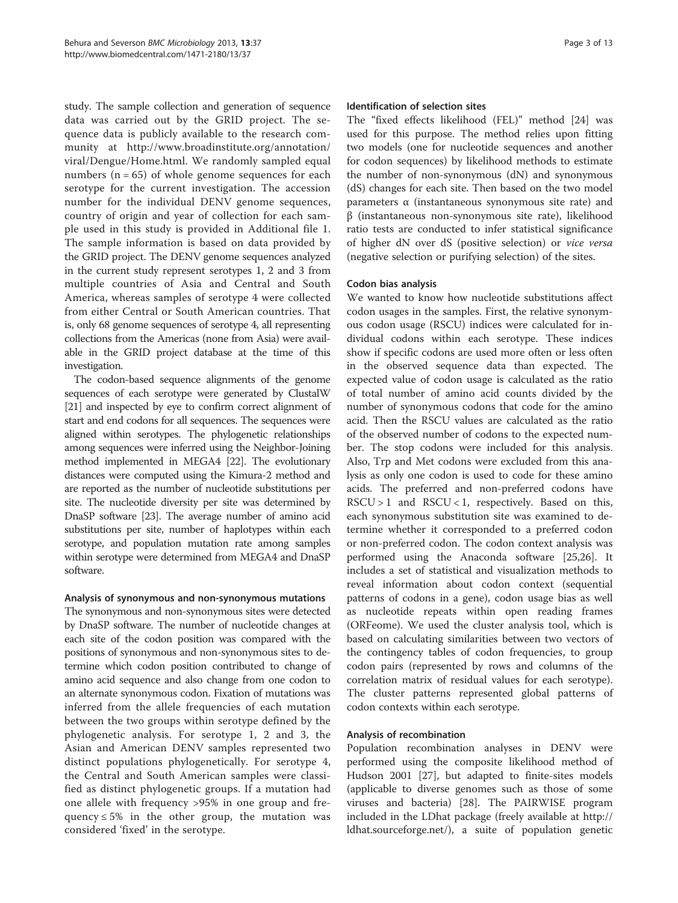study. The sample collection and generation of sequence data was carried out by the GRID project. The sequence data is publicly available to the research community at [http://www.broadinstitute.org/annotation/](http://www.broadinstitute.org/annotation/viral/Dengue/Home.html) [viral/Dengue/Home.html.](http://www.broadinstitute.org/annotation/viral/Dengue/Home.html) We randomly sampled equal numbers  $(n = 65)$  of whole genome sequences for each serotype for the current investigation. The accession number for the individual DENV genome sequences, country of origin and year of collection for each sample used in this study is provided in Additional file [1](#page-11-0). The sample information is based on data provided by the GRID project. The DENV genome sequences analyzed in the current study represent serotypes 1, 2 and 3 from multiple countries of Asia and Central and South America, whereas samples of serotype 4 were collected from either Central or South American countries. That is, only 68 genome sequences of serotype 4, all representing collections from the Americas (none from Asia) were available in the GRID project database at the time of this investigation.

The codon-based sequence alignments of the genome sequences of each serotype were generated by ClustalW [[21](#page-11-0)] and inspected by eye to confirm correct alignment of start and end codons for all sequences. The sequences were aligned within serotypes. The phylogenetic relationships among sequences were inferred using the Neighbor-Joining method implemented in MEGA4 [\[22](#page-11-0)]. The evolutionary distances were computed using the Kimura-2 method and are reported as the number of nucleotide substitutions per site. The nucleotide diversity per site was determined by DnaSP software [\[23\]](#page-11-0). The average number of amino acid substitutions per site, number of haplotypes within each serotype, and population mutation rate among samples within serotype were determined from MEGA4 and DnaSP software.

#### Analysis of synonymous and non-synonymous mutations

The synonymous and non-synonymous sites were detected by DnaSP software. The number of nucleotide changes at each site of the codon position was compared with the positions of synonymous and non-synonymous sites to determine which codon position contributed to change of amino acid sequence and also change from one codon to an alternate synonymous codon. Fixation of mutations was inferred from the allele frequencies of each mutation between the two groups within serotype defined by the phylogenetic analysis. For serotype 1, 2 and 3, the Asian and American DENV samples represented two distinct populations phylogenetically. For serotype 4, the Central and South American samples were classified as distinct phylogenetic groups. If a mutation had one allele with frequency >95% in one group and frequency  $\leq 5\%$  in the other group, the mutation was considered 'fixed' in the serotype.

#### Identification of selection sites

The "fixed effects likelihood (FEL)" method [[24\]](#page-11-0) was used for this purpose. The method relies upon fitting two models (one for nucleotide sequences and another for codon sequences) by likelihood methods to estimate the number of non-synonymous (dN) and synonymous (dS) changes for each site. Then based on the two model parameters α (instantaneous synonymous site rate) and β (instantaneous non-synonymous site rate), likelihood ratio tests are conducted to infer statistical significance of higher dN over dS (positive selection) or vice versa (negative selection or purifying selection) of the sites.

# Codon bias analysis

We wanted to know how nucleotide substitutions affect codon usages in the samples. First, the relative synonymous codon usage (RSCU) indices were calculated for individual codons within each serotype. These indices show if specific codons are used more often or less often in the observed sequence data than expected. The expected value of codon usage is calculated as the ratio of total number of amino acid counts divided by the number of synonymous codons that code for the amino acid. Then the RSCU values are calculated as the ratio of the observed number of codons to the expected number. The stop codons were included for this analysis. Also, Trp and Met codons were excluded from this analysis as only one codon is used to code for these amino acids. The preferred and non-preferred codons have  $RSCU > 1$  and  $RSCU < 1$ , respectively. Based on this, each synonymous substitution site was examined to determine whether it corresponded to a preferred codon or non-preferred codon. The codon context analysis was performed using the Anaconda software [[25,26](#page-12-0)]. It includes a set of statistical and visualization methods to reveal information about codon context (sequential patterns of codons in a gene), codon usage bias as well as nucleotide repeats within open reading frames (ORFeome). We used the cluster analysis tool, which is based on calculating similarities between two vectors of the contingency tables of codon frequencies, to group codon pairs (represented by rows and columns of the correlation matrix of residual values for each serotype). The cluster patterns represented global patterns of codon contexts within each serotype.

# Analysis of recombination

Population recombination analyses in DENV were performed using the composite likelihood method of Hudson 2001 [[27\]](#page-12-0), but adapted to finite-sites models (applicable to diverse genomes such as those of some viruses and bacteria) [[28\]](#page-12-0). The PAIRWISE program included in the LDhat package (freely available at [http://](http://ldhat.sourceforge.net/) [ldhat.sourceforge.net/\)](http://ldhat.sourceforge.net/), a suite of population genetic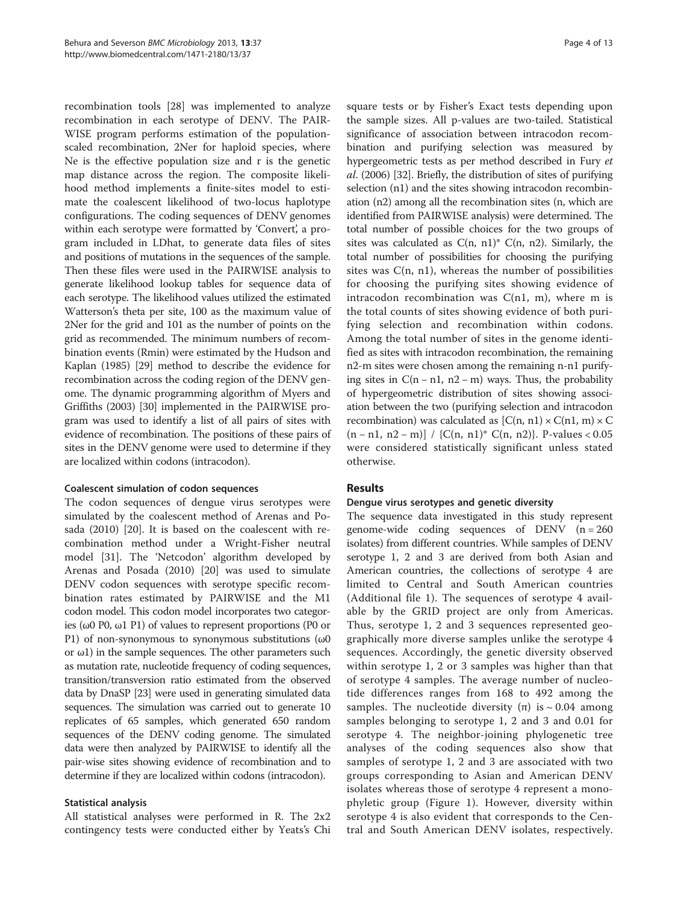recombination tools [[28](#page-12-0)] was implemented to analyze recombination in each serotype of DENV. The PAIR-WISE program performs estimation of the populationscaled recombination, 2Ner for haploid species, where Ne is the effective population size and r is the genetic map distance across the region. The composite likelihood method implements a finite-sites model to estimate the coalescent likelihood of two-locus haplotype configurations. The coding sequences of DENV genomes within each serotype were formatted by 'Convert', a program included in LDhat, to generate data files of sites and positions of mutations in the sequences of the sample. Then these files were used in the PAIRWISE analysis to generate likelihood lookup tables for sequence data of each serotype. The likelihood values utilized the estimated Watterson's theta per site, 100 as the maximum value of 2Ner for the grid and 101 as the number of points on the grid as recommended. The minimum numbers of recombination events (Rmin) were estimated by the Hudson and Kaplan (1985) [[29](#page-12-0)] method to describe the evidence for recombination across the coding region of the DENV genome. The dynamic programming algorithm of Myers and Griffiths (2003) [[30](#page-12-0)] implemented in the PAIRWISE program was used to identify a list of all pairs of sites with evidence of recombination. The positions of these pairs of sites in the DENV genome were used to determine if they are localized within codons (intracodon).

#### Coalescent simulation of codon sequences

The codon sequences of dengue virus serotypes were simulated by the coalescent method of Arenas and Posada (2010) [[20\]](#page-11-0). It is based on the coalescent with recombination method under a Wright-Fisher neutral model [[31\]](#page-12-0). The 'Netcodon' algorithm developed by Arenas and Posada (2010) [[20](#page-11-0)] was used to simulate DENV codon sequences with serotype specific recombination rates estimated by PAIRWISE and the M1 codon model. This codon model incorporates two categories (ω0 P0, ω1 P1) of values to represent proportions (P0 or P1) of non-synonymous to synonymous substitutions ( $\omega$ 0 or  $\omega$ 1) in the sample sequences. The other parameters such as mutation rate, nucleotide frequency of coding sequences, transition/transversion ratio estimated from the observed data by DnaSP [[23](#page-11-0)] were used in generating simulated data sequences. The simulation was carried out to generate 10 replicates of 65 samples, which generated 650 random sequences of the DENV coding genome. The simulated data were then analyzed by PAIRWISE to identify all the pair-wise sites showing evidence of recombination and to determine if they are localized within codons (intracodon).

#### Statistical analysis

All statistical analyses were performed in R. The 2x2 contingency tests were conducted either by Yeats's Chi

square tests or by Fisher's Exact tests depending upon the sample sizes. All p-values are two-tailed. Statistical significance of association between intracodon recombination and purifying selection was measured by hypergeometric tests as per method described in Fury et al. (2006) [[32](#page-12-0)]. Briefly, the distribution of sites of purifying selection (n1) and the sites showing intracodon recombination (n2) among all the recombination sites (n, which are identified from PAIRWISE analysis) were determined. The total number of possible choices for the two groups of sites was calculated as  $C(n, n1)^* C(n, n2)$ . Similarly, the total number of possibilities for choosing the purifying sites was  $C(n, n1)$ , whereas the number of possibilities for choosing the purifying sites showing evidence of intracodon recombination was  $C(n1, m)$ , where m is the total counts of sites showing evidence of both purifying selection and recombination within codons. Among the total number of sites in the genome identified as sites with intracodon recombination, the remaining n2-m sites were chosen among the remaining n-n1 purifying sites in  $C(n - n1, n2 - m)$  ways. Thus, the probability of hypergeometric distribution of sites showing association between the two (purifying selection and intracodon recombination) was calculated as  $[C(n, n1) \times C(n1, m) \times C]$ (n − n1, n2 − m)] / {C(n, n1)\* C(n, n2)}. P-values < 0.05 were considered statistically significant unless stated otherwise.

# Results

#### Dengue virus serotypes and genetic diversity

The sequence data investigated in this study represent genome-wide coding sequences of DENV  $(n = 260$ isolates) from different countries. While samples of DENV serotype 1, 2 and 3 are derived from both Asian and American countries, the collections of serotype 4 are limited to Central and South American countries (Additional file [1\)](#page-11-0). The sequences of serotype 4 available by the GRID project are only from Americas. Thus, serotype 1, 2 and 3 sequences represented geographically more diverse samples unlike the serotype 4 sequences. Accordingly, the genetic diversity observed within serotype 1, 2 or 3 samples was higher than that of serotype 4 samples. The average number of nucleotide differences ranges from 168 to 492 among the samples. The nucleotide diversity  $(\pi)$  is ~ 0.04 among samples belonging to serotype 1, 2 and 3 and 0.01 for serotype 4. The neighbor-joining phylogenetic tree analyses of the coding sequences also show that samples of serotype 1, 2 and 3 are associated with two groups corresponding to Asian and American DENV isolates whereas those of serotype 4 represent a monophyletic group (Figure [1\)](#page-4-0). However, diversity within serotype 4 is also evident that corresponds to the Central and South American DENV isolates, respectively.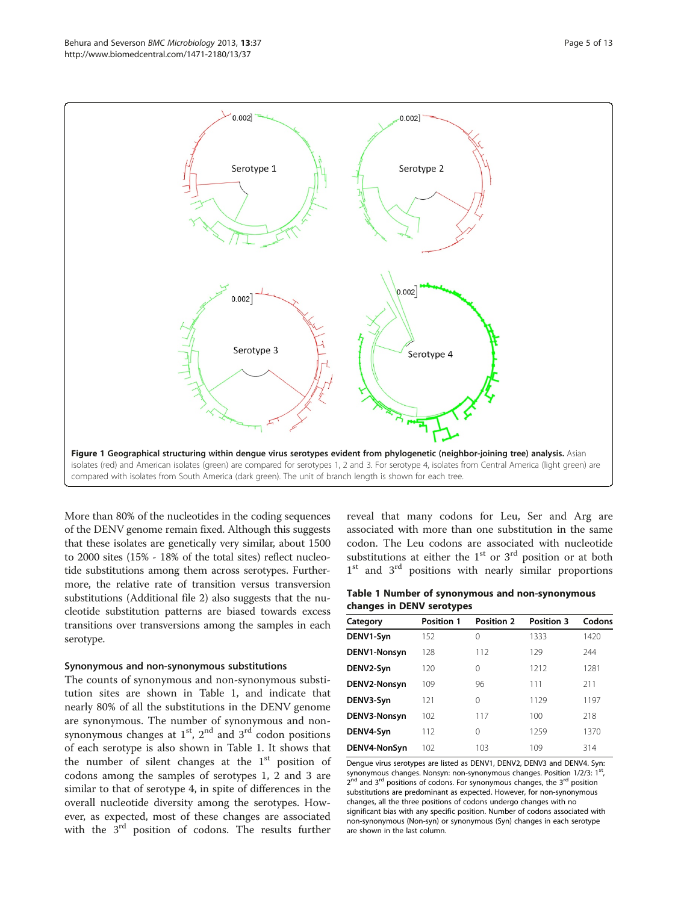<span id="page-4-0"></span>

More than 80% of the nucleotides in the coding sequences of the DENV genome remain fixed. Although this suggests that these isolates are genetically very similar, about 1500 to 2000 sites (15% - 18% of the total sites) reflect nucleotide substitutions among them across serotypes. Furthermore, the relative rate of transition versus transversion substitutions (Additional file [2\)](#page-11-0) also suggests that the nucleotide substitution patterns are biased towards excess transitions over transversions among the samples in each serotype.

#### Synonymous and non-synonymous substitutions

The counts of synonymous and non-synonymous substitution sites are shown in Table 1, and indicate that nearly 80% of all the substitutions in the DENV genome are synonymous. The number of synonymous and nonsynonymous changes at  $1<sup>st</sup>$ ,  $2<sup>nd</sup>$  and  $3<sup>rd</sup>$  codon positions of each serotype is also shown in Table 1. It shows that the number of silent changes at the  $1<sup>st</sup>$  position of codons among the samples of serotypes 1, 2 and 3 are similar to that of serotype 4, in spite of differences in the overall nucleotide diversity among the serotypes. However, as expected, most of these changes are associated with the 3rd position of codons. The results further

reveal that many codons for Leu, Ser and Arg are associated with more than one substitution in the same codon. The Leu codons are associated with nucleotide substitutions at either the  $1<sup>st</sup>$  or  $3<sup>rd</sup>$  position or at both 1<sup>st</sup> and 3<sup>rd</sup> positions with nearly similar proportions

Table 1 Number of synonymous and non-synonymous changes in DENV serotypes

| Category     | <b>Position 1</b> | <b>Position 2</b> | <b>Position 3</b> | Codons |
|--------------|-------------------|-------------------|-------------------|--------|
| DENV1-Syn    | 152               | 0                 | 1333              | 1420   |
| DENV1-Nonsyn | 128               | 112               | 129               | 244    |
| DENV2-Syn    | 120               | 0                 | 1212              | 1281   |
| DENV2-Nonsyn | 109               | 96                | 111               | 211    |
| DENV3-Syn    | 121               | 0                 | 1129              | 1197   |
| DENV3-Nonsyn | 102               | 117               | 100               | 218    |
| DENV4-Syn    | 112               | 0                 | 1259              | 1370   |
| DENV4-NonSyn | 102               | 103               | 109               | 314    |

Dengue virus serotypes are listed as DENV1, DENV2, DENV3 and DENV4. Syn: synonymous changes. Nonsyn: non-synonymous changes. Position 1/2/3: 1st, 2<sup>nd</sup> and 3<sup>rd</sup> positions of codons. For synonymous changes, the 3<sup>rd</sup> position substitutions are predominant as expected. However, for non-synonymous changes, all the three positions of codons undergo changes with no significant bias with any specific position. Number of codons associated with non-synonymous (Non-syn) or synonymous (Syn) changes in each serotype are shown in the last column.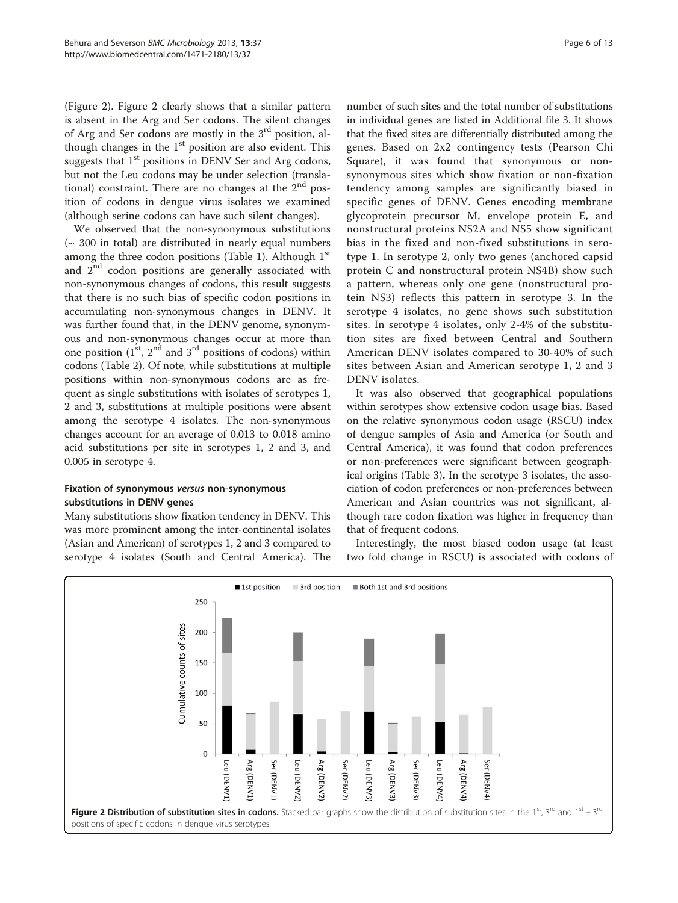(Figure 2). Figure 2 clearly shows that a similar pattern is absent in the Arg and Ser codons. The silent changes of Arg and Ser codons are mostly in the  $3<sup>rd</sup>$  position, although changes in the  $1<sup>st</sup>$  position are also evident. This suggests that  $1<sup>st</sup>$  positions in DENV Ser and Arg codons, but not the Leu codons may be under selection (translational) constraint. There are no changes at the  $2<sup>nd</sup>$  position of codons in dengue virus isolates we examined (although serine codons can have such silent changes).

We observed that the non-synonymous substitutions  $\sim$  300 in total) are distributed in nearly equal numbers among the three codon positions (Table [1](#page-4-0)). Although 1<sup>st</sup> and 2nd codon positions are generally associated with non-synonymous changes of codons, this result suggests that there is no such bias of specific codon positions in accumulating non-synonymous changes in DENV. It was further found that, in the DENV genome, synonymous and non-synonymous changes occur at more than one position  $(1<sup>st</sup>, 2<sup>nd</sup>$  and  $3<sup>rd</sup>$  positions of codons) within codons (Table [2\)](#page-6-0). Of note, while substitutions at multiple positions within non-synonymous codons are as frequent as single substitutions with isolates of serotypes 1, 2 and 3, substitutions at multiple positions were absent among the serotype 4 isolates. The non-synonymous changes account for an average of 0.013 to 0.018 amino acid substitutions per site in serotypes 1, 2 and 3, and 0.005 in serotype 4.

# Fixation of synonymous versus non-synonymous substitutions in DENV genes

Many substitutions show fixation tendency in DENV. This was more prominent among the inter-continental isolates (Asian and American) of serotypes 1, 2 and 3 compared to serotype 4 isolates (South and Central America). The

number of such sites and the total number of substitutions in individual genes are listed in Additional file [3](#page-11-0). It shows that the fixed sites are differentially distributed among the genes. Based on 2x2 contingency tests (Pearson Chi Square), it was found that synonymous or nonsynonymous sites which show fixation or non-fixation tendency among samples are significantly biased in specific genes of DENV. Genes encoding membrane glycoprotein precursor M, envelope protein E, and nonstructural proteins NS2A and NS5 show significant bias in the fixed and non-fixed substitutions in serotype 1. In serotype 2, only two genes (anchored capsid protein C and nonstructural protein NS4B) show such a pattern, whereas only one gene (nonstructural protein NS3) reflects this pattern in serotype 3. In the serotype 4 isolates, no gene shows such substitution sites. In serotype 4 isolates, only 2-4% of the substitution sites are fixed between Central and Southern American DENV isolates compared to 30-40% of such sites between Asian and American serotype 1, 2 and 3 DENV isolates.

It was also observed that geographical populations within serotypes show extensive codon usage bias. Based on the relative synonymous codon usage (RSCU) index of dengue samples of Asia and America (or South and Central America), it was found that codon preferences or non-preferences were significant between geographical origins (Table [3\)](#page-6-0). In the serotype 3 isolates, the association of codon preferences or non-preferences between American and Asian countries was not significant, although rare codon fixation was higher in frequency than that of frequent codons.

Interestingly, the most biased codon usage (at least two fold change in RSCU) is associated with codons of

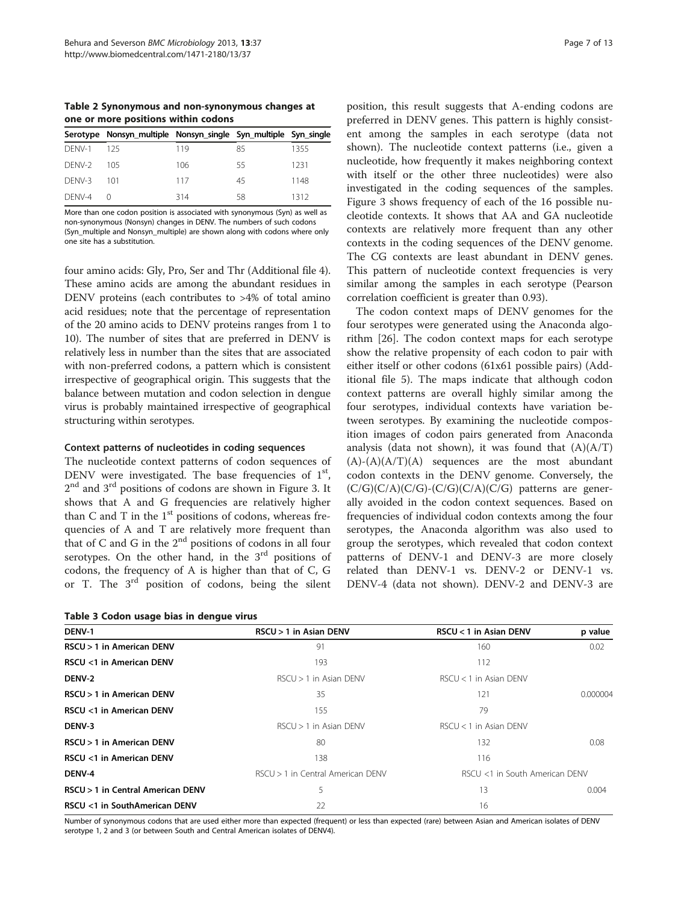<span id="page-6-0"></span>Table 2 Synonymous and non-synonymous changes at one or more positions within codons

|            | Serotype Nonsyn_multiple Nonsyn_single Syn_multiple Syn_single |     |    |      |
|------------|----------------------------------------------------------------|-----|----|------|
| DFNV-1     | - 125                                                          | 119 | 85 | 1355 |
| DENV-2 105 |                                                                | 106 | 55 | 1231 |
| DENV-3 101 |                                                                | 117 | 45 | 1148 |
| DENV-4     | $\cap$                                                         | 314 | 58 | 1312 |

More than one codon position is associated with synonymous (Syn) as well as non-synonymous (Nonsyn) changes in DENV. The numbers of such codons (Syn\_multiple and Nonsyn\_multiple) are shown along with codons where only one site has a substitution.

four amino acids: Gly, Pro, Ser and Thr (Additional file [4](#page-11-0)). These amino acids are among the abundant residues in DENV proteins (each contributes to >4% of total amino acid residues; note that the percentage of representation of the 20 amino acids to DENV proteins ranges from 1 to 10). The number of sites that are preferred in DENV is relatively less in number than the sites that are associated with non-preferred codons, a pattern which is consistent irrespective of geographical origin. This suggests that the balance between mutation and codon selection in dengue virus is probably maintained irrespective of geographical structuring within serotypes.

#### Context patterns of nucleotides in coding sequences

The nucleotide context patterns of codon sequences of DENV were investigated. The base frequencies of  $1<sup>st</sup>$ ,  $2<sup>nd</sup>$  and  $3<sup>rd</sup>$  positions of codons are shown in Figure [3.](#page-7-0) It shows that A and G frequencies are relatively higher than C and T in the  $1<sup>st</sup>$  positions of codons, whereas frequencies of A and T are relatively more frequent than that of C and G in the  $2<sup>nd</sup>$  positions of codons in all four serotypes. On the other hand, in the  $3<sup>rd</sup>$  positions of codons, the frequency of A is higher than that of C, G or T. The  $3<sup>rd</sup>$  position of codons, being the silent

|  |  |  |  |  |  | Table 3 Codon usage bias in dengue virus |  |
|--|--|--|--|--|--|------------------------------------------|--|
|--|--|--|--|--|--|------------------------------------------|--|

position, this result suggests that A-ending codons are preferred in DENV genes. This pattern is highly consistent among the samples in each serotype (data not shown). The nucleotide context patterns (i.e., given a nucleotide, how frequently it makes neighboring context with itself or the other three nucleotides) were also investigated in the coding sequences of the samples. Figure [3](#page-7-0) shows frequency of each of the 16 possible nucleotide contexts. It shows that AA and GA nucleotide contexts are relatively more frequent than any other contexts in the coding sequences of the DENV genome. The CG contexts are least abundant in DENV genes. This pattern of nucleotide context frequencies is very similar among the samples in each serotype (Pearson correlation coefficient is greater than 0.93).

The codon context maps of DENV genomes for the four serotypes were generated using the Anaconda algorithm [\[26\]](#page-12-0). The codon context maps for each serotype show the relative propensity of each codon to pair with either itself or other codons (61x61 possible pairs) (Additional file [5](#page-11-0)). The maps indicate that although codon context patterns are overall highly similar among the four serotypes, individual contexts have variation between serotypes. By examining the nucleotide composition images of codon pairs generated from Anaconda analysis (data not shown), it was found that  $(A)(A/T)$ (A)-(A)(A/T)(A) sequences are the most abundant codon contexts in the DENV genome. Conversely, the  $(C/G)(C/A)(C/G)-(C/G)(C/A)(C/G)$  patterns are generally avoided in the codon context sequences. Based on frequencies of individual codon contexts among the four serotypes, the Anaconda algorithm was also used to group the serotypes, which revealed that codon context patterns of DENV-1 and DENV-3 are more closely related than DENV-1 vs. DENV-2 or DENV-1 vs. DENV-4 (data not shown). DENV-2 and DENV-3 are

| <b>DENV-1</b>                     | RSCU > 1 in Asian DENV            | RSCU < 1 in Asian DENV         | p value  |
|-----------------------------------|-----------------------------------|--------------------------------|----------|
| RSCU > 1 in American DENV         | 91                                | 160                            | 0.02     |
| RSCU <1 in American DENV          | 193                               | 112                            |          |
| DENV-2                            | $RSCU > 1$ in Asian DENV          | $RSCU < 1$ in Asian DFNV       |          |
| RSCU > 1 in American DENV         | 35                                | 121                            | 0.000004 |
| RSCU <1 in American DENV          | 155                               | 79                             |          |
| <b>DENV-3</b>                     | $RSCU > 1$ in Asian DENV          | $RSCU < 1$ in Asian DENV       |          |
| RSCU > 1 in American DENV         | 80                                | 132                            | 0.08     |
| RSCU <1 in American DENV          | 138                               | 116                            |          |
| <b>DENV-4</b>                     | RSCU > 1 in Central American DFNV | RSCU <1 in South American DFNV |          |
| RSCU > 1 in Central American DENV |                                   | 13                             | 0.004    |
| RSCU <1 in SouthAmerican DENV     | 22                                | 16                             |          |

Number of synonymous codons that are used either more than expected (frequent) or less than expected (rare) between Asian and American isolates of DENV serotype 1, 2 and 3 (or between South and Central American isolates of DENV4).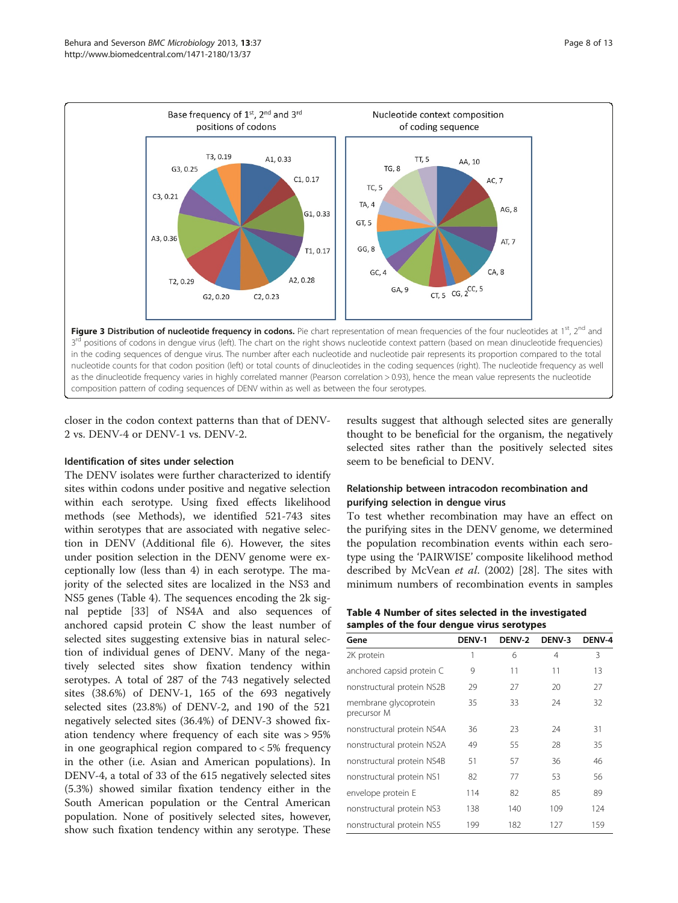<span id="page-7-0"></span>

closer in the codon context patterns than that of DENV-2 vs. DENV-4 or DENV-1 vs. DENV-2.

#### Identification of sites under selection

The DENV isolates were further characterized to identify sites within codons under positive and negative selection within each serotype. Using fixed effects likelihood methods (see [Methods](#page-1-0)), we identified 521-743 sites within serotypes that are associated with negative selection in DENV (Additional file [6\)](#page-11-0). However, the sites under position selection in the DENV genome were exceptionally low (less than 4) in each serotype. The majority of the selected sites are localized in the NS3 and NS5 genes (Table 4). The sequences encoding the 2k signal peptide [\[33\]](#page-12-0) of NS4A and also sequences of anchored capsid protein C show the least number of selected sites suggesting extensive bias in natural selection of individual genes of DENV. Many of the negatively selected sites show fixation tendency within serotypes. A total of 287 of the 743 negatively selected sites (38.6%) of DENV-1, 165 of the 693 negatively selected sites (23.8%) of DENV-2, and 190 of the 521 negatively selected sites (36.4%) of DENV-3 showed fixation tendency where frequency of each site was > 95% in one geographical region compared to  $< 5\%$  frequency in the other (i.e. Asian and American populations). In DENV-4, a total of 33 of the 615 negatively selected sites (5.3%) showed similar fixation tendency either in the South American population or the Central American population. None of positively selected sites, however, show such fixation tendency within any serotype. These

results suggest that although selected sites are generally thought to be beneficial for the organism, the negatively selected sites rather than the positively selected sites seem to be beneficial to DENV.

# Relationship between intracodon recombination and purifying selection in dengue virus

To test whether recombination may have an effect on the purifying sites in the DENV genome, we determined the population recombination events within each serotype using the 'PAIRWISE' composite likelihood method described by McVean et al. (2002) [\[28\]](#page-12-0). The sites with minimum numbers of recombination events in samples

# Table 4 Number of sites selected in the investigated samples of the four dengue virus serotypes

| Gene                                 | DENV-1 | DENV-2 | DENV-3 | DENV-4 |
|--------------------------------------|--------|--------|--------|--------|
| 2K protein                           | 1      | 6      | 4      | 3      |
| anchored capsid protein C            | 9      | 11     | 11     | 13     |
| nonstructural protein NS2B           | 29     | 27     | 20     | 27     |
| membrane glycoprotein<br>precursor M | 35     | 33     | 24     | 32     |
| nonstructural protein NS4A           | 36     | 23     | 24     | 31     |
| nonstructural protein NS2A           | 49     | 55     | 28     | 35     |
| nonstructural protein NS4B           | 51     | 57     | 36     | 46     |
| nonstructural protein NS1            | 82     | 77     | 53     | 56     |
| envelope protein E                   | 114    | 82     | 85     | 89     |
| nonstructural protein NS3            | 138    | 140    | 109    | 124    |
| nonstructural protein NS5            | 199    | 182    | 127    | 159    |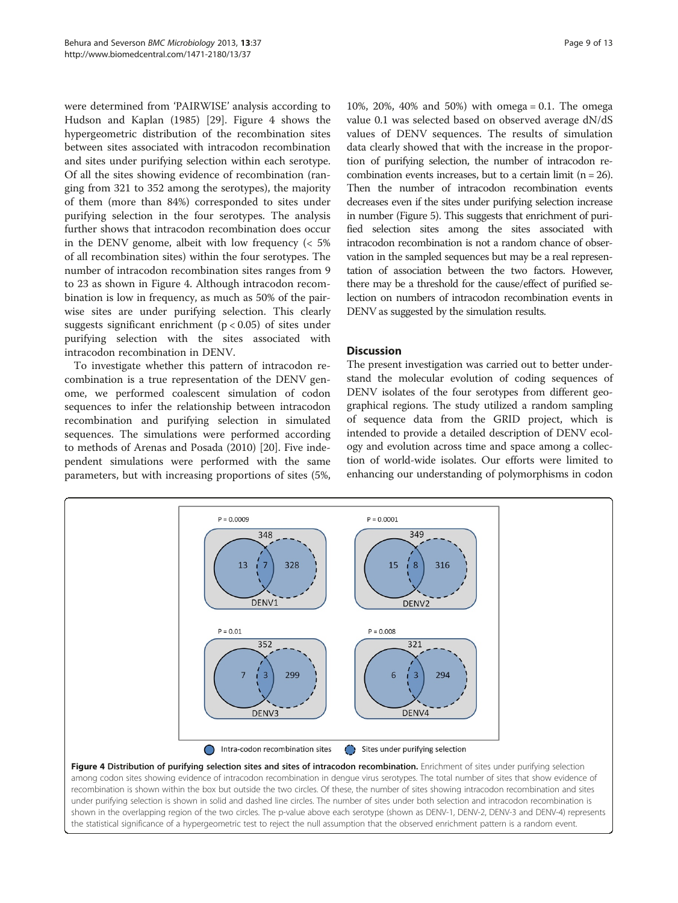<span id="page-8-0"></span>were determined from 'PAIRWISE' analysis according to Hudson and Kaplan (1985) [\[29](#page-12-0)]. Figure 4 shows the hypergeometric distribution of the recombination sites between sites associated with intracodon recombination and sites under purifying selection within each serotype. Of all the sites showing evidence of recombination (ranging from 321 to 352 among the serotypes), the majority of them (more than 84%) corresponded to sites under purifying selection in the four serotypes. The analysis further shows that intracodon recombination does occur in the DENV genome, albeit with low frequency  $\langle \, \langle 5 \rangle \rangle$ of all recombination sites) within the four serotypes. The number of intracodon recombination sites ranges from 9 to 23 as shown in Figure 4. Although intracodon recombination is low in frequency, as much as 50% of the pairwise sites are under purifying selection. This clearly suggests significant enrichment ( $p < 0.05$ ) of sites under purifying selection with the sites associated with intracodon recombination in DENV.

To investigate whether this pattern of intracodon recombination is a true representation of the DENV genome, we performed coalescent simulation of codon sequences to infer the relationship between intracodon recombination and purifying selection in simulated sequences. The simulations were performed according to methods of Arenas and Posada (2010) [\[20](#page-11-0)]. Five independent simulations were performed with the same parameters, but with increasing proportions of sites (5%,

10%, 20%, 40% and 50%) with omega = 0.1. The omega value 0.1 was selected based on observed average dN/dS values of DENV sequences. The results of simulation data clearly showed that with the increase in the proportion of purifying selection, the number of intracodon recombination events increases, but to a certain limit  $(n = 26)$ . Then the number of intracodon recombination events decreases even if the sites under purifying selection increase in number (Figure [5\)](#page-9-0). This suggests that enrichment of purified selection sites among the sites associated with intracodon recombination is not a random chance of observation in the sampled sequences but may be a real representation of association between the two factors. However, there may be a threshold for the cause/effect of purified selection on numbers of intracodon recombination events in DENV as suggested by the simulation results.

# **Discussion**

The present investigation was carried out to better understand the molecular evolution of coding sequences of DENV isolates of the four serotypes from different geographical regions. The study utilized a random sampling of sequence data from the GRID project, which is intended to provide a detailed description of DENV ecology and evolution across time and space among a collection of world-wide isolates. Our efforts were limited to enhancing our understanding of polymorphisms in codon



among codon sites showing evidence of intracodon recombination in dengue virus serotypes. The total number of sites that show evidence of recombination is shown within the box but outside the two circles. Of these, the number of sites showing intracodon recombination and sites under purifying selection is shown in solid and dashed line circles. The number of sites under both selection and intracodon recombination is shown in the overlapping region of the two circles. The p-value above each serotype (shown as DENV-1, DENV-2, DENV-3 and DENV-4) represents the statistical significance of a hypergeometric test to reject the null assumption that the observed enrichment pattern is a random event.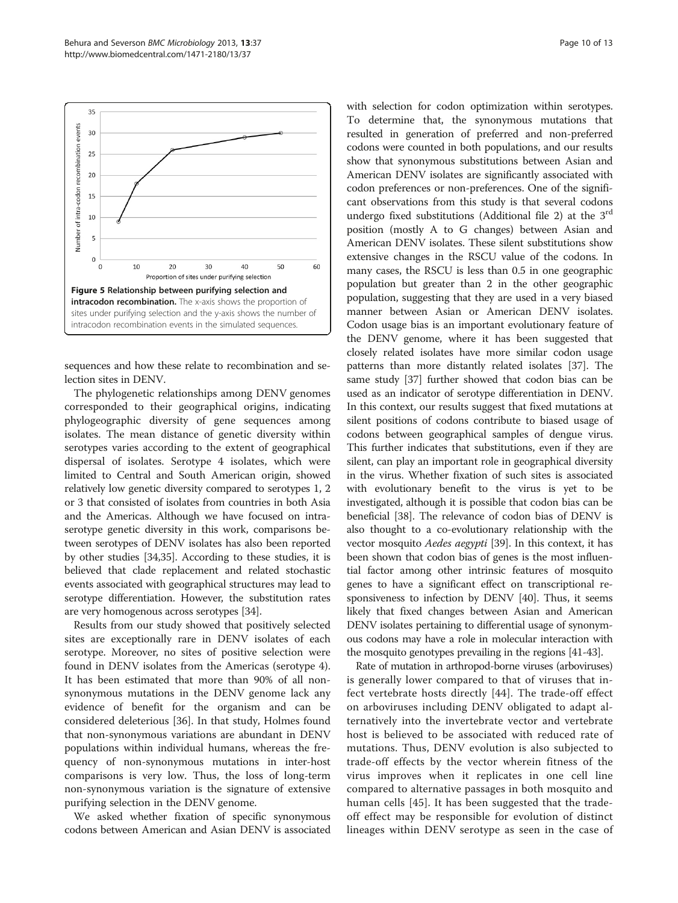<span id="page-9-0"></span>

sequences and how these relate to recombination and selection sites in DENV.

The phylogenetic relationships among DENV genomes corresponded to their geographical origins, indicating phylogeographic diversity of gene sequences among isolates. The mean distance of genetic diversity within serotypes varies according to the extent of geographical dispersal of isolates. Serotype 4 isolates, which were limited to Central and South American origin, showed relatively low genetic diversity compared to serotypes 1, 2 or 3 that consisted of isolates from countries in both Asia and the Americas. Although we have focused on intraserotype genetic diversity in this work, comparisons between serotypes of DENV isolates has also been reported by other studies [\[34,35\]](#page-12-0). According to these studies, it is believed that clade replacement and related stochastic events associated with geographical structures may lead to serotype differentiation. However, the substitution rates are very homogenous across serotypes [\[34\]](#page-12-0).

Results from our study showed that positively selected sites are exceptionally rare in DENV isolates of each serotype. Moreover, no sites of positive selection were found in DENV isolates from the Americas (serotype 4). It has been estimated that more than 90% of all nonsynonymous mutations in the DENV genome lack any evidence of benefit for the organism and can be considered deleterious [[36\]](#page-12-0). In that study, Holmes found that non-synonymous variations are abundant in DENV populations within individual humans, whereas the frequency of non-synonymous mutations in inter-host comparisons is very low. Thus, the loss of long-term non-synonymous variation is the signature of extensive purifying selection in the DENV genome.

We asked whether fixation of specific synonymous codons between American and Asian DENV is associated with selection for codon optimization within serotypes. To determine that, the synonymous mutations that resulted in generation of preferred and non-preferred codons were counted in both populations, and our results show that synonymous substitutions between Asian and American DENV isolates are significantly associated with codon preferences or non-preferences. One of the significant observations from this study is that several codons undergo fixed substitutions (Additional file [2\)](#page-11-0) at the 3rd position (mostly A to G changes) between Asian and American DENV isolates. These silent substitutions show extensive changes in the RSCU value of the codons. In many cases, the RSCU is less than 0.5 in one geographic population but greater than 2 in the other geographic population, suggesting that they are used in a very biased manner between Asian or American DENV isolates. Codon usage bias is an important evolutionary feature of the DENV genome, where it has been suggested that closely related isolates have more similar codon usage patterns than more distantly related isolates [\[37](#page-12-0)]. The same study [\[37\]](#page-12-0) further showed that codon bias can be used as an indicator of serotype differentiation in DENV. In this context, our results suggest that fixed mutations at silent positions of codons contribute to biased usage of codons between geographical samples of dengue virus. This further indicates that substitutions, even if they are silent, can play an important role in geographical diversity in the virus. Whether fixation of such sites is associated with evolutionary benefit to the virus is yet to be investigated, although it is possible that codon bias can be beneficial [[38](#page-12-0)]. The relevance of codon bias of DENV is also thought to a co-evolutionary relationship with the vector mosquito Aedes aegypti [\[39\]](#page-12-0). In this context, it has been shown that codon bias of genes is the most influential factor among other intrinsic features of mosquito genes to have a significant effect on transcriptional responsiveness to infection by DENV [[40](#page-12-0)]. Thus, it seems likely that fixed changes between Asian and American DENV isolates pertaining to differential usage of synonymous codons may have a role in molecular interaction with the mosquito genotypes prevailing in the regions [[41-43\]](#page-12-0).

Rate of mutation in arthropod-borne viruses (arboviruses) is generally lower compared to that of viruses that infect vertebrate hosts directly [[44](#page-12-0)]. The trade-off effect on arboviruses including DENV obligated to adapt alternatively into the invertebrate vector and vertebrate host is believed to be associated with reduced rate of mutations. Thus, DENV evolution is also subjected to trade-off effects by the vector wherein fitness of the virus improves when it replicates in one cell line compared to alternative passages in both mosquito and human cells [[45\]](#page-12-0). It has been suggested that the tradeoff effect may be responsible for evolution of distinct lineages within DENV serotype as seen in the case of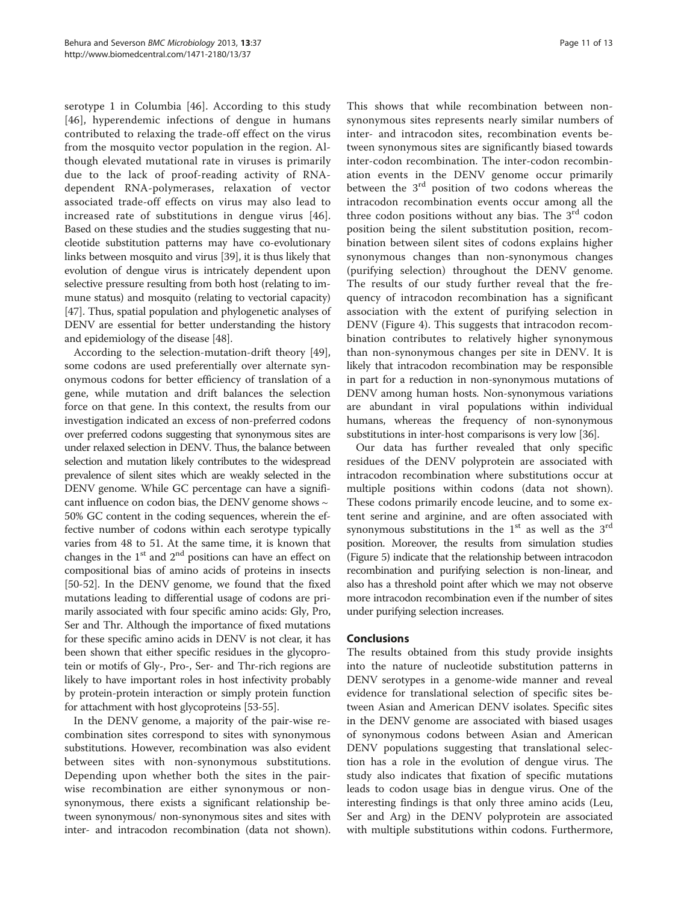serotype 1 in Columbia [\[46](#page-12-0)]. According to this study [[46](#page-12-0)], hyperendemic infections of dengue in humans contributed to relaxing the trade-off effect on the virus from the mosquito vector population in the region. Although elevated mutational rate in viruses is primarily due to the lack of proof-reading activity of RNAdependent RNA-polymerases, relaxation of vector associated trade-off effects on virus may also lead to increased rate of substitutions in dengue virus [[46](#page-12-0)]. Based on these studies and the studies suggesting that nucleotide substitution patterns may have co-evolutionary links between mosquito and virus [[39\]](#page-12-0), it is thus likely that evolution of dengue virus is intricately dependent upon selective pressure resulting from both host (relating to immune status) and mosquito (relating to vectorial capacity) [[47](#page-12-0)]. Thus, spatial population and phylogenetic analyses of DENV are essential for better understanding the history and epidemiology of the disease [[48](#page-12-0)].

According to the selection-mutation-drift theory [\[49](#page-12-0)], some codons are used preferentially over alternate synonymous codons for better efficiency of translation of a gene, while mutation and drift balances the selection force on that gene. In this context, the results from our investigation indicated an excess of non-preferred codons over preferred codons suggesting that synonymous sites are under relaxed selection in DENV. Thus, the balance between selection and mutation likely contributes to the widespread prevalence of silent sites which are weakly selected in the DENV genome. While GC percentage can have a significant influence on codon bias, the DENV genome shows  $\sim$ 50% GC content in the coding sequences, wherein the effective number of codons within each serotype typically varies from 48 to 51. At the same time, it is known that changes in the  $1<sup>st</sup>$  and  $2<sup>nd</sup>$  positions can have an effect on compositional bias of amino acids of proteins in insects [[50](#page-12-0)-[52\]](#page-12-0). In the DENV genome, we found that the fixed mutations leading to differential usage of codons are primarily associated with four specific amino acids: Gly, Pro, Ser and Thr. Although the importance of fixed mutations for these specific amino acids in DENV is not clear, it has been shown that either specific residues in the glycoprotein or motifs of Gly-, Pro-, Ser- and Thr-rich regions are likely to have important roles in host infectivity probably by protein-protein interaction or simply protein function for attachment with host glycoproteins [\[53](#page-12-0)-[55](#page-12-0)].

In the DENV genome, a majority of the pair-wise recombination sites correspond to sites with synonymous substitutions. However, recombination was also evident between sites with non-synonymous substitutions. Depending upon whether both the sites in the pairwise recombination are either synonymous or nonsynonymous, there exists a significant relationship between synonymous/ non-synonymous sites and sites with inter- and intracodon recombination (data not shown).

This shows that while recombination between nonsynonymous sites represents nearly similar numbers of inter- and intracodon sites, recombination events between synonymous sites are significantly biased towards inter-codon recombination. The inter-codon recombination events in the DENV genome occur primarily between the  $3<sup>rd</sup>$  position of two codons whereas the intracodon recombination events occur among all the three codon positions without any bias. The  $3<sup>rd</sup>$  codon position being the silent substitution position, recombination between silent sites of codons explains higher synonymous changes than non-synonymous changes (purifying selection) throughout the DENV genome. The results of our study further reveal that the frequency of intracodon recombination has a significant association with the extent of purifying selection in DENV (Figure [4\)](#page-8-0). This suggests that intracodon recombination contributes to relatively higher synonymous than non-synonymous changes per site in DENV. It is likely that intracodon recombination may be responsible in part for a reduction in non-synonymous mutations of DENV among human hosts. Non-synonymous variations are abundant in viral populations within individual humans, whereas the frequency of non-synonymous substitutions in inter-host comparisons is very low [\[36\]](#page-12-0).

Our data has further revealed that only specific residues of the DENV polyprotein are associated with intracodon recombination where substitutions occur at multiple positions within codons (data not shown). These codons primarily encode leucine, and to some extent serine and arginine, and are often associated with synonymous substitutions in the  $1<sup>st</sup>$  as well as the  $3<sup>rd</sup>$ position. Moreover, the results from simulation studies (Figure [5\)](#page-9-0) indicate that the relationship between intracodon recombination and purifying selection is non-linear, and also has a threshold point after which we may not observe more intracodon recombination even if the number of sites under purifying selection increases.

# Conclusions

The results obtained from this study provide insights into the nature of nucleotide substitution patterns in DENV serotypes in a genome-wide manner and reveal evidence for translational selection of specific sites between Asian and American DENV isolates. Specific sites in the DENV genome are associated with biased usages of synonymous codons between Asian and American DENV populations suggesting that translational selection has a role in the evolution of dengue virus. The study also indicates that fixation of specific mutations leads to codon usage bias in dengue virus. One of the interesting findings is that only three amino acids (Leu, Ser and Arg) in the DENV polyprotein are associated with multiple substitutions within codons. Furthermore,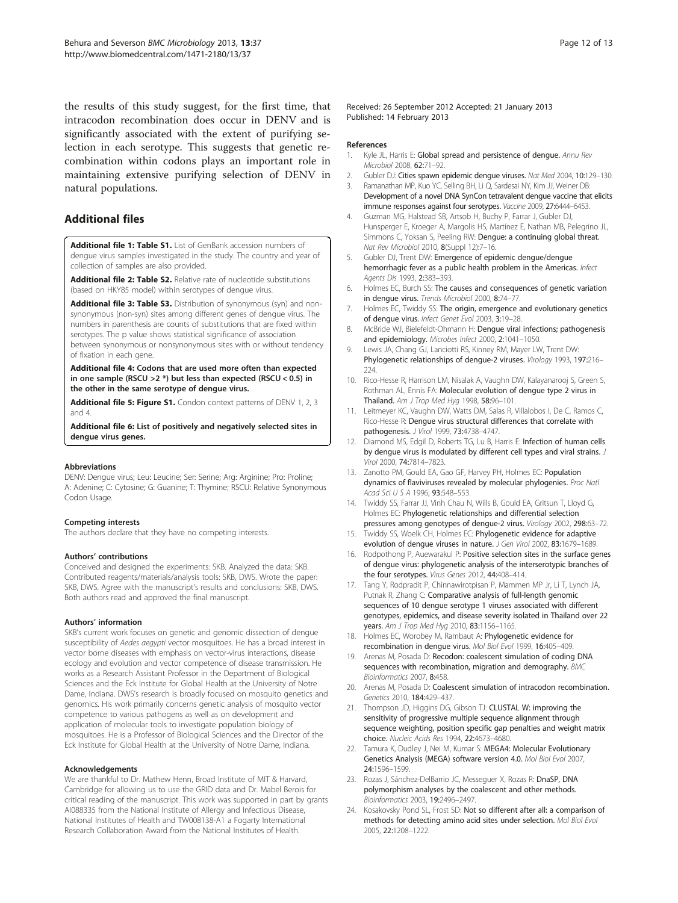<span id="page-11-0"></span>the results of this study suggest, for the first time, that intracodon recombination does occur in DENV and is significantly associated with the extent of purifying selection in each serotype. This suggests that genetic recombination within codons plays an important role in maintaining extensive purifying selection of DENV in natural populations.

# Additional files

[Additional file 1: Table S1.](http://www.biomedcentral.com/content/supplementary/1471-2180-13-37-S1.xlsx) List of GenBank accession numbers of dengue virus samples investigated in the study. The country and year of collection of samples are also provided.

[Additional file 2: Table S2.](http://www.biomedcentral.com/content/supplementary/1471-2180-13-37-S2.docx) Relative rate of nucleotide substitutions (based on HKY85 model) within serotypes of dengue virus.

[Additional file 3: Table S3.](http://www.biomedcentral.com/content/supplementary/1471-2180-13-37-S3.docx) Distribution of synonymous (syn) and nonsynonymous (non-syn) sites among different genes of dengue virus. The numbers in parenthesis are counts of substitutions that are fixed within serotypes. The p value shows statistical significance of association between synonymous or nonsynonymous sites with or without tendency of fixation in each gene.

[Additional file 4:](http://www.biomedcentral.com/content/supplementary/1471-2180-13-37-S4.xlsx) Codons that are used more often than expected in one sample (RSCU >2 \*) but less than expected (RSCU < 0.5) in the other in the same serotype of dengue virus.

[Additional file 5: Figure S1.](http://www.biomedcentral.com/content/supplementary/1471-2180-13-37-S5.docx) Condon context patterns of DENV 1, 2, 3 and 4.

[Additional file 6:](http://www.biomedcentral.com/content/supplementary/1471-2180-13-37-S6.xlsx) List of positively and negatively selected sites in dengue virus genes.

#### Abbreviations

DENV: Dengue virus; Leu: Leucine; Ser: Serine; Arg: Arginine; Pro: Proline; A: Adenine; C: Cytosine; G: Guanine; T: Thymine; RSCU: Relative Synonymous Codon Usage.

#### Competing interests

The authors declare that they have no competing interests.

#### Authors' contributions

Conceived and designed the experiments: SKB. Analyzed the data: SKB. Contributed reagents/materials/analysis tools: SKB, DWS. Wrote the paper: SKB, DWS. Agree with the manuscript's results and conclusions: SKB, DWS. Both authors read and approved the final manuscript.

#### Authors' information

SKB's current work focuses on genetic and genomic dissection of dengue susceptibility of Aedes aegypti vector mosquitoes. He has a broad interest in vector borne diseases with emphasis on vector-virus interactions, disease ecology and evolution and vector competence of disease transmission. He works as a Research Assistant Professor in the Department of Biological Sciences and the Eck Institute for Global Health at the University of Notre Dame, Indiana. DWS's research is broadly focused on mosquito genetics and genomics. His work primarily concerns genetic analysis of mosquito vector competence to various pathogens as well as on development and application of molecular tools to investigate population biology of mosquitoes. He is a Professor of Biological Sciences and the Director of the Eck Institute for Global Health at the University of Notre Dame, Indiana.

#### Acknowledgements

We are thankful to Dr. Mathew Henn, Broad Institute of MIT & Harvard, Cambridge for allowing us to use the GRID data and Dr. Mabel Berois for critical reading of the manuscript. This work was supported in part by grants AI088335 from the National Institute of Allergy and Infectious Disease, National Institutes of Health and TW008138-A1 a Fogarty International Research Collaboration Award from the National Institutes of Health.

Received: 26 September 2012 Accepted: 21 January 2013 Published: 14 February 2013

#### References

- 1. Kyle JL, Harris E: Global spread and persistence of dengue. Annu Rev Microbiol 2008, 62:71–92.
- 2. Gubler DJ: Cities spawn epidemic dengue viruses. Nat Med 2004, 10:129-130.
- 3. Ramanathan MP, Kuo YC, Selling BH, Li Q, Sardesai NY, Kim JJ, Weiner DB: Development of a novel DNA SynCon tetravalent dengue vaccine that elicits immune responses against four serotypes. Vaccine 2009, 27:6444-6453.
- 4. Guzman MG, Halstead SB, Artsob H, Buchy P, Farrar J, Gubler DJ, Hunsperger E, Kroeger A, Margolis HS, Martínez E, Nathan MB, Pelegrino JL, Simmons C, Yoksan S, Peeling RW: Dengue: a continuing global threat. Nat Rev Microbiol 2010, 8(Suppl 12):7–16.
- 5. Gubler DJ, Trent DW: Emergence of epidemic dengue/dengue hemorrhagic fever as a public health problem in the Americas. Infect Agents Dis 1993, 2:383–393.
- 6. Holmes EC, Burch SS: The causes and consequences of genetic variation in dengue virus. Trends Microbiol 2000, 8:74–77.
- 7. Holmes EC, Twiddy SS: The origin, emergence and evolutionary genetics of dengue virus. Infect Genet Evol 2003, 3:19–28.
- 8. McBride WJ, Bielefeldt-Ohmann H: Dengue viral infections; pathogenesis and epidemiology. Microbes Infect 2000, 2:1041–1050.
- 9. Lewis JA, Chang GJ, Lanciotti RS, Kinney RM, Mayer LW, Trent DW: Phylogenetic relationships of dengue-2 viruses. Virology 1993, 197:216-224.
- 10. Rico-Hesse R, Harrison LM, Nisalak A, Vaughn DW, Kalayanarooj S, Green S, Rothman AL, Ennis FA: Molecular evolution of dengue type 2 virus in Thailand. Am J Trop Med Hyg 1998, 58:96–101.
- 11. Leitmeyer KC, Vaughn DW, Watts DM, Salas R, Villalobos I, De C, Ramos C, Rico-Hesse R: Dengue virus structural differences that correlate with pathogenesis. J Virol 1999, 73:4738–4747.
- 12. Diamond MS, Edgil D, Roberts TG, Lu B, Harris E: Infection of human cells by dengue virus is modulated by different cell types and viral strains. J Virol 2000, 74:7814–7823.
- 13. Zanotto PM, Gould EA, Gao GF, Harvey PH, Holmes EC: Population dynamics of flaviviruses revealed by molecular phylogenies. Proc Natl Acad Sci U S A 1996, 93:548–553.
- 14. Twiddy SS, Farrar JJ, Vinh Chau N, Wills B, Gould EA, Gritsun T, Lloyd G, Holmes EC: Phylogenetic relationships and differential selection pressures among genotypes of dengue-2 virus. Virology 2002, 298:63–72.
- 15. Twiddy SS, Woelk CH, Holmes EC: Phylogenetic evidence for adaptive evolution of dengue viruses in nature. J Gen Virol 2002, 83:1679-1689.
- 16. Rodpothong P, Auewarakul P: Positive selection sites in the surface genes of dengue virus: phylogenetic analysis of the interserotypic branches of the four serotypes. Virus Genes 2012, 44:408–414.
- 17. Tang Y, Rodpradit P, Chinnawirotpisan P, Mammen MP Jr, Li T, Lynch JA, Putnak R, Zhang C: Comparative analysis of full-length genomic sequences of 10 dengue serotype 1 viruses associated with different genotypes, epidemics, and disease severity isolated in Thailand over 22 years. Am J Trop Med Hyg 2010, 83:1156-1165.
- 18. Holmes EC, Worobey M, Rambaut A: Phylogenetic evidence for recombination in dengue virus. Mol Biol Evol 1999, 16:405–409.
- 19. Arenas M, Posada D: Recodon: coalescent simulation of coding DNA sequences with recombination, migration and demography. BMC Bioinformatics 2007, 8:458.
- 20. Arenas M, Posada D: Coalescent simulation of intracodon recombination. Genetics 2010, 184:429-437
- 21. Thompson JD, Higgins DG, Gibson TJ: CLUSTAL W: improving the sensitivity of progressive multiple sequence alignment through sequence weighting, position specific gap penalties and weight matrix choice. Nucleic Acids Res 1994, 22:4673–4680.
- 22. Tamura K, Dudley J, Nei M, Kumar S: MEGA4: Molecular Evolutionary Genetics Analysis (MEGA) software version 4.0. Mol Biol Evol 2007, 24:1596–1599.
- 23. Rozas J, Sánchez-DelBarrio JC, Messeguer X, Rozas R: DnaSP, DNA polymorphism analyses by the coalescent and other methods. Bioinformatics 2003, 19:2496–2497.
- 24. Kosakovsky Pond SL, Frost SD: Not so different after all: a comparison of methods for detecting amino acid sites under selection. Mol Biol Evol 2005, 22:1208–1222.